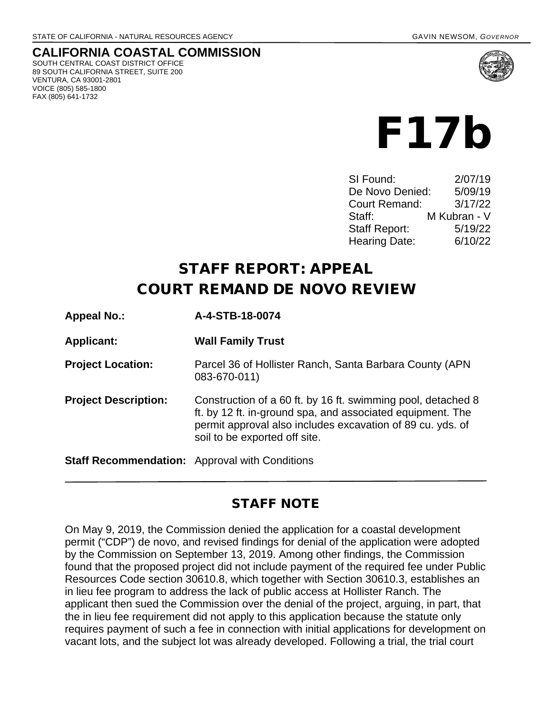### **CALIFORNIA COASTAL COMMISSION**

SOUTH CENTRAL COAST DISTRICT OFFICE 89 SOUTH CALIFORNIA STREET, SUITE 200 VENTURA, CA 93001-2801 VOICE (805) 585-1800 FAX (805) 641-1732





| SI Found:            | 2/07/19      |
|----------------------|--------------|
| De Novo Denied:      | 5/09/19      |
| <b>Court Remand:</b> | 3/17/22      |
| Staff:               | M Kubran - V |
| <b>Staff Report:</b> | 5/19/22      |
| <b>Hearing Date:</b> | 6/10/22      |

# STAFF REPORT: APPEAL COURT REMAND DE NOVO REVIEW

| <b>Appeal No.:</b>                                    | A-4-STB-18-0074                                                                                                                                                                                                           |  |
|-------------------------------------------------------|---------------------------------------------------------------------------------------------------------------------------------------------------------------------------------------------------------------------------|--|
| <b>Applicant:</b>                                     | <b>Wall Family Trust</b>                                                                                                                                                                                                  |  |
| <b>Project Location:</b>                              | Parcel 36 of Hollister Ranch, Santa Barbara County (APN)<br>083-670-011)                                                                                                                                                  |  |
| <b>Project Description:</b>                           | Construction of a 60 ft. by 16 ft. swimming pool, detached 8<br>ft. by 12 ft. in-ground spa, and associated equipment. The<br>permit approval also includes excavation of 89 cu. yds. of<br>soil to be exported off site. |  |
| <b>Staff Recommendation:</b> Approval with Conditions |                                                                                                                                                                                                                           |  |

### STAFF NOTE

On May 9, 2019, the Commission denied the application for a coastal development permit ("CDP") de novo, and revised findings for denial of the application were adopted by the Commission on September 13, 2019. Among other findings, the Commission found that the proposed project did not include payment of the required fee under Public Resources Code section 30610.8, which together with Section 30610.3, establishes an in lieu fee program to address the lack of public access at Hollister Ranch. The applicant then sued the Commission over the denial of the project, arguing, in part, that the in lieu fee requirement did not apply to this application because the statute only requires payment of such a fee in connection with initial applications for development on vacant lots, and the subject lot was already developed. Following a trial, the trial court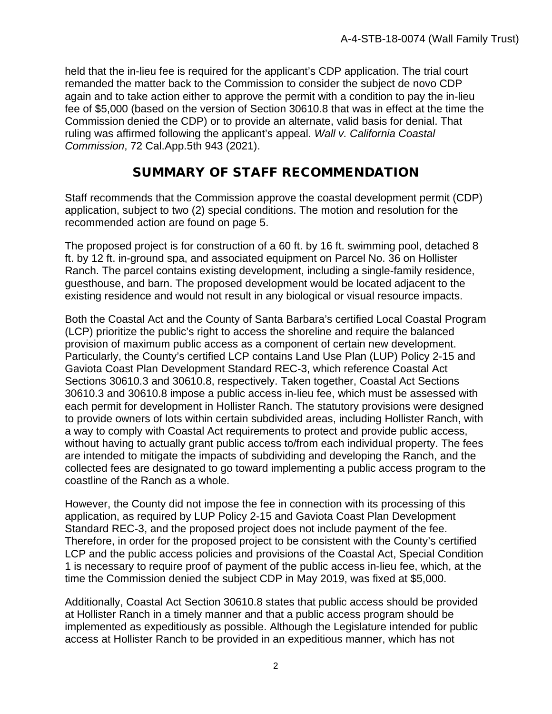held that the in-lieu fee is required for the applicant's CDP application. The trial court remanded the matter back to the Commission to consider the subject de novo CDP again and to take action either to approve the permit with a condition to pay the in-lieu fee of \$5,000 (based on the version of Section 30610.8 that was in effect at the time the Commission denied the CDP) or to provide an alternate, valid basis for denial. That ruling was affirmed following the applicant's appeal. *Wall v. California Coastal Commission*, 72 Cal.App.5th 943 (2021).

### SUMMARY OF STAFF RECOMMENDATION

Staff recommends that the Commission approve the coastal development permit (CDP) application, subject to two (2) special conditions. The motion and resolution for the recommended action are found on page 5.

The proposed project is for construction of a 60 ft. by 16 ft. swimming pool, detached 8 ft. by 12 ft. in-ground spa, and associated equipment on Parcel No. 36 on Hollister Ranch. The parcel contains existing development, including a single-family residence, guesthouse, and barn. The proposed development would be located adjacent to the existing residence and would not result in any biological or visual resource impacts.

Both the Coastal Act and the County of Santa Barbara's certified Local Coastal Program (LCP) prioritize the public's right to access the shoreline and require the balanced provision of maximum public access as a component of certain new development. Particularly, the County's certified LCP contains Land Use Plan (LUP) Policy 2-15 and Gaviota Coast Plan Development Standard REC-3, which reference Coastal Act Sections 30610.3 and 30610.8, respectively. Taken together, Coastal Act Sections 30610.3 and 30610.8 impose a public access in-lieu fee, which must be assessed with each permit for development in Hollister Ranch. The statutory provisions were designed to provide owners of lots within certain subdivided areas, including Hollister Ranch, with a way to comply with Coastal Act requirements to protect and provide public access, without having to actually grant public access to/from each individual property. The fees are intended to mitigate the impacts of subdividing and developing the Ranch, and the collected fees are designated to go toward implementing a public access program to the coastline of the Ranch as a whole.

However, the County did not impose the fee in connection with its processing of this application, as required by LUP Policy 2-15 and Gaviota Coast Plan Development Standard REC-3, and the proposed project does not include payment of the fee. Therefore, in order for the proposed project to be consistent with the County's certified LCP and the public access policies and provisions of the Coastal Act, Special Condition 1 is necessary to require proof of payment of the public access in-lieu fee, which, at the time the Commission denied the subject CDP in May 2019, was fixed at \$5,000.

Additionally, Coastal Act Section 30610.8 states that public access should be provided at Hollister Ranch in a timely manner and that a public access program should be implemented as expeditiously as possible. Although the Legislature intended for public access at Hollister Ranch to be provided in an expeditious manner, which has not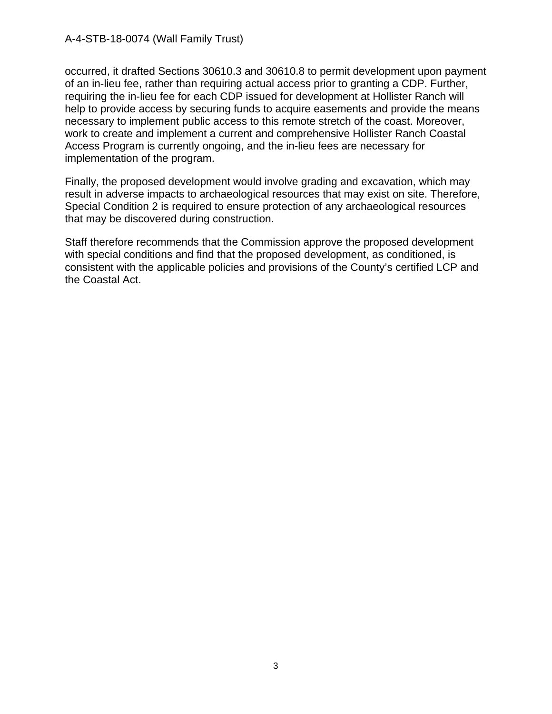occurred, it drafted Sections 30610.3 and 30610.8 to permit development upon payment of an in-lieu fee, rather than requiring actual access prior to granting a CDP. Further, requiring the in-lieu fee for each CDP issued for development at Hollister Ranch will help to provide access by securing funds to acquire easements and provide the means necessary to implement public access to this remote stretch of the coast. Moreover, work to create and implement a current and comprehensive Hollister Ranch Coastal Access Program is currently ongoing, and the in-lieu fees are necessary for implementation of the program.

Finally, the proposed development would involve grading and excavation, which may result in adverse impacts to archaeological resources that may exist on site. Therefore, Special Condition 2 is required to ensure protection of any archaeological resources that may be discovered during construction.

Staff therefore recommends that the Commission approve the proposed development with special conditions and find that the proposed development, as conditioned, is consistent with the applicable policies and provisions of the County's certified LCP and the Coastal Act.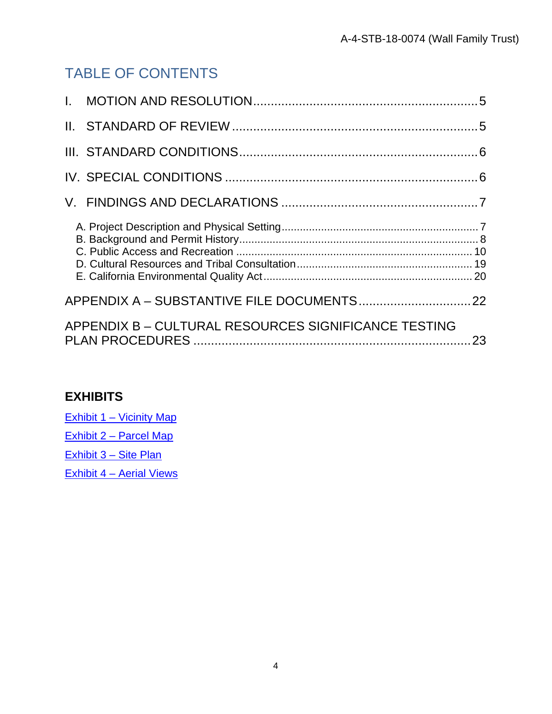# TABLE OF CONTENTS

| $\mathbf{L}$ |                                                      |  |
|--------------|------------------------------------------------------|--|
|              |                                                      |  |
|              |                                                      |  |
|              |                                                      |  |
|              |                                                      |  |
|              |                                                      |  |
|              |                                                      |  |
|              | APPENDIX B - CULTURAL RESOURCES SIGNIFICANCE TESTING |  |

# E)

| <b>EXHIBITS</b>          |  |
|--------------------------|--|
| Exhibit 1 – Vicinity Map |  |
| Exhibit 2 – Parcel Map   |  |
| Exhibit 3 - Site Plan    |  |
| Exhibit 4 - Aerial Views |  |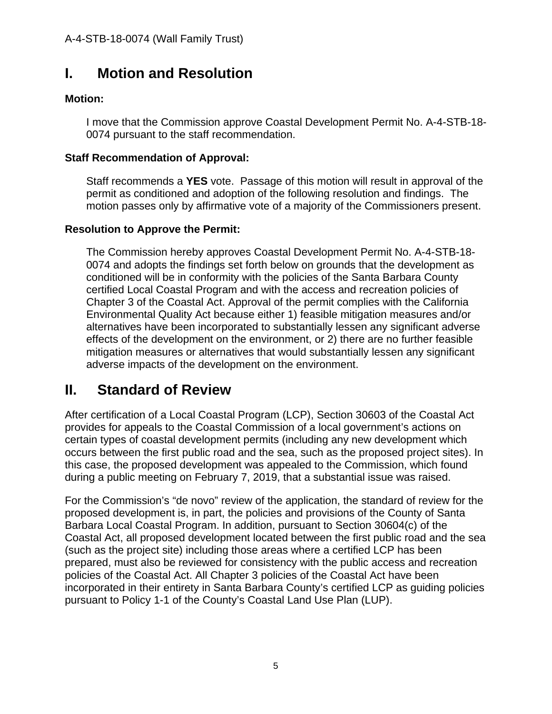# <span id="page-4-0"></span>**I. Motion and Resolution**

#### **Motion:**

I move that the Commission approve Coastal Development Permit No. A-4-STB-18- 0074 pursuant to the staff recommendation.

#### **Staff Recommendation of Approval:**

Staff recommends a **YES** vote. Passage of this motion will result in approval of the permit as conditioned and adoption of the following resolution and findings. The motion passes only by affirmative vote of a majority of the Commissioners present.

#### **Resolution to Approve the Permit:**

The Commission hereby approves Coastal Development Permit No. A-4-STB-18- 0074 and adopts the findings set forth below on grounds that the development as conditioned will be in conformity with the policies of the Santa Barbara County certified Local Coastal Program and with the access and recreation policies of Chapter 3 of the Coastal Act. Approval of the permit complies with the California Environmental Quality Act because either 1) feasible mitigation measures and/or alternatives have been incorporated to substantially lessen any significant adverse effects of the development on the environment, or 2) there are no further feasible mitigation measures or alternatives that would substantially lessen any significant adverse impacts of the development on the environment.

# <span id="page-4-1"></span>**II. Standard of Review**

After certification of a Local Coastal Program (LCP), Section 30603 of the Coastal Act provides for appeals to the Coastal Commission of a local government's actions on certain types of coastal development permits (including any new development which occurs between the first public road and the sea, such as the proposed project sites). In this case, the proposed development was appealed to the Commission, which found during a public meeting on February 7, 2019, that a substantial issue was raised.

For the Commission's "de novo" review of the application, the standard of review for the proposed development is, in part, the policies and provisions of the County of Santa Barbara Local Coastal Program. In addition, pursuant to Section 30604(c) of the Coastal Act, all proposed development located between the first public road and the sea (such as the project site) including those areas where a certified LCP has been prepared, must also be reviewed for consistency with the public access and recreation policies of the Coastal Act. All Chapter 3 policies of the Coastal Act have been incorporated in their entirety in Santa Barbara County's certified LCP as guiding policies pursuant to Policy 1-1 of the County's Coastal Land Use Plan (LUP).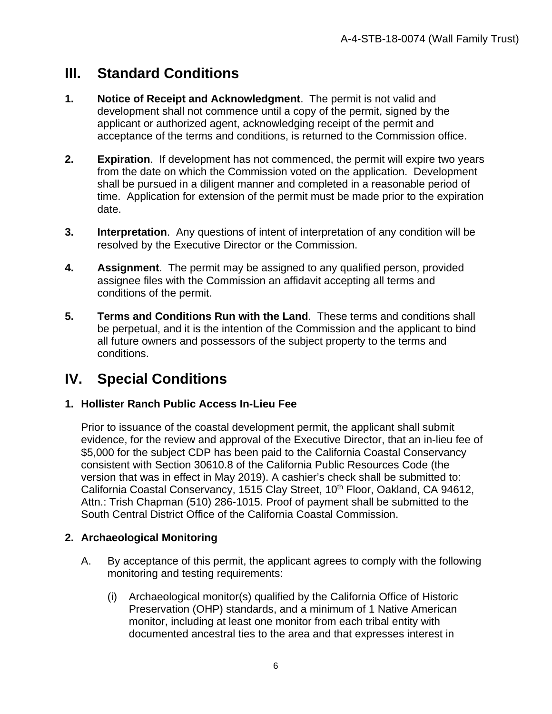## <span id="page-5-0"></span>**III. Standard Conditions**

- **1. Notice of Receipt and Acknowledgment**. The permit is not valid and development shall not commence until a copy of the permit, signed by the applicant or authorized agent, acknowledging receipt of the permit and acceptance of the terms and conditions, is returned to the Commission office.
- **2. Expiration**. If development has not commenced, the permit will expire two years from the date on which the Commission voted on the application. Development shall be pursued in a diligent manner and completed in a reasonable period of time. Application for extension of the permit must be made prior to the expiration date.
- **3. Interpretation**. Any questions of intent of interpretation of any condition will be resolved by the Executive Director or the Commission.
- **4. Assignment**. The permit may be assigned to any qualified person, provided assignee files with the Commission an affidavit accepting all terms and conditions of the permit.
- **5. Terms and Conditions Run with the Land**. These terms and conditions shall be perpetual, and it is the intention of the Commission and the applicant to bind all future owners and possessors of the subject property to the terms and conditions.

## <span id="page-5-1"></span>**IV. Special Conditions**

#### **1. Hollister Ranch Public Access In-Lieu Fee**

Prior to issuance of the coastal development permit, the applicant shall submit evidence, for the review and approval of the Executive Director, that an in-lieu fee of \$5,000 for the subject CDP has been paid to the California Coastal Conservancy consistent with Section 30610.8 of the California Public Resources Code (the version that was in effect in May 2019). A cashier's check shall be submitted to: California Coastal Conservancy, 1515 Clay Street, 10<sup>th</sup> Floor, Oakland, CA 94612, Attn.: Trish Chapman (510) 286-1015. Proof of payment shall be submitted to the South Central District Office of the California Coastal Commission.

#### **2. Archaeological Monitoring**

- A. By acceptance of this permit, the applicant agrees to comply with the following monitoring and testing requirements:
	- (i) Archaeological monitor(s) qualified by the California Office of Historic Preservation (OHP) standards, and a minimum of 1 Native American monitor, including at least one monitor from each tribal entity with documented ancestral ties to the area and that expresses interest in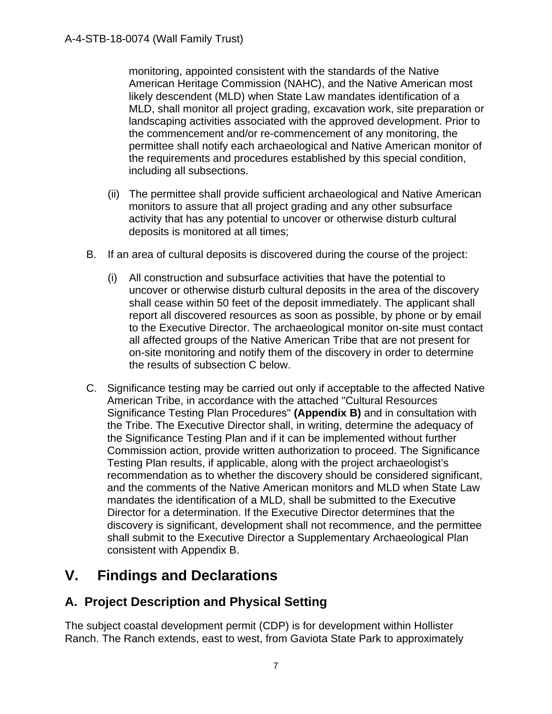monitoring, appointed consistent with the standards of the Native American Heritage Commission (NAHC), and the Native American most likely descendent (MLD) when State Law mandates identification of a MLD, shall monitor all project grading, excavation work, site preparation or landscaping activities associated with the approved development. Prior to the commencement and/or re-commencement of any monitoring, the permittee shall notify each archaeological and Native American monitor of the requirements and procedures established by this special condition, including all subsections.

- (ii) The permittee shall provide sufficient archaeological and Native American monitors to assure that all project grading and any other subsurface activity that has any potential to uncover or otherwise disturb cultural deposits is monitored at all times;
- B. If an area of cultural deposits is discovered during the course of the project:
	- (i) All construction and subsurface activities that have the potential to uncover or otherwise disturb cultural deposits in the area of the discovery shall cease within 50 feet of the deposit immediately. The applicant shall report all discovered resources as soon as possible, by phone or by email to the Executive Director. The archaeological monitor on-site must contact all affected groups of the Native American Tribe that are not present for on-site monitoring and notify them of the discovery in order to determine the results of subsection C below.
- C. Significance testing may be carried out only if acceptable to the affected Native American Tribe, in accordance with the attached "Cultural Resources Significance Testing Plan Procedures" **(Appendix B)** and in consultation with the Tribe. The Executive Director shall, in writing, determine the adequacy of the Significance Testing Plan and if it can be implemented without further Commission action, provide written authorization to proceed. The Significance Testing Plan results, if applicable, along with the project archaeologist's recommendation as to whether the discovery should be considered significant, and the comments of the Native American monitors and MLD when State Law mandates the identification of a MLD, shall be submitted to the Executive Director for a determination. If the Executive Director determines that the discovery is significant, development shall not recommence, and the permittee shall submit to the Executive Director a Supplementary Archaeological Plan consistent with Appendix B.

# <span id="page-6-0"></span>**V. Findings and Declarations**

## <span id="page-6-1"></span>**A. Project Description and Physical Setting**

The subject coastal development permit (CDP) is for development within Hollister Ranch. The Ranch extends, east to west, from Gaviota State Park to approximately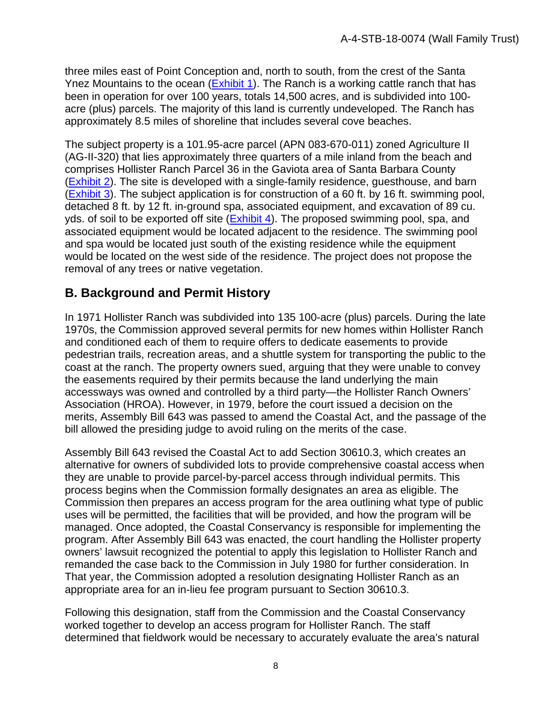three miles east of Point Conception and, north to south, from the crest of the Santa Ynez Mountains to the ocean [\(Exhibit 1\)](https://documents.coastal.ca.gov/reports/2022/6/f17b/f17b-6-2022-exhibits.pdf). The Ranch is a working cattle ranch that has been in operation for over 100 years, totals 14,500 acres, and is subdivided into 100 acre (plus) parcels. The majority of this land is currently undeveloped. The Ranch has approximately 8.5 miles of shoreline that includes several cove beaches.

The subject property is a 101.95-acre parcel (APN 083-670-011) zoned Agriculture II (AG-II-320) that lies approximately three quarters of a mile inland from the beach and comprises Hollister Ranch Parcel 36 in the Gaviota area of Santa Barbara County [\(Exhibit 2\)](https://documents.coastal.ca.gov/reports/2022/6/f17b/f17b-6-2022-exhibits.pdf). The site is developed with a single-family residence, guesthouse, and barn [\(Exhibit 3\)](https://documents.coastal.ca.gov/reports/2022/6/f17b/f17b-6-2022-exhibits.pdf). The subject application is for construction of a 60 ft. by 16 ft. swimming pool, detached 8 ft. by 12 ft. in-ground spa, associated equipment, and excavation of 89 cu. yds. of soil to be exported off site [\(Exhibit 4\)](https://documents.coastal.ca.gov/reports/2022/6/f17b/f17b-6-2022-exhibits.pdf). The proposed swimming pool, spa, and associated equipment would be located adjacent to the residence. The swimming pool and spa would be located just south of the existing residence while the equipment would be located on the west side of the residence. The project does not propose the removal of any trees or native vegetation.

## <span id="page-7-0"></span>**B. Background and Permit History**

In 1971 Hollister Ranch was subdivided into 135 100-acre (plus) parcels. During the late 1970s, the Commission approved several permits for new homes within Hollister Ranch and conditioned each of them to require offers to dedicate easements to provide pedestrian trails, recreation areas, and a shuttle system for transporting the public to the coast at the ranch. The property owners sued, arguing that they were unable to convey the easements required by their permits because the land underlying the main accessways was owned and controlled by a third party—the Hollister Ranch Owners' Association (HROA). However, in 1979, before the court issued a decision on the merits, Assembly Bill 643 was passed to amend the Coastal Act, and the passage of the bill allowed the presiding judge to avoid ruling on the merits of the case.

Assembly Bill 643 revised the Coastal Act to add Section 30610.3, which creates an alternative for owners of subdivided lots to provide comprehensive coastal access when they are unable to provide parcel-by-parcel access through individual permits. This process begins when the Commission formally designates an area as eligible. The Commission then prepares an access program for the area outlining what type of public uses will be permitted, the facilities that will be provided, and how the program will be managed. Once adopted, the Coastal Conservancy is responsible for implementing the program. After Assembly Bill 643 was enacted, the court handling the Hollister property owners' lawsuit recognized the potential to apply this legislation to Hollister Ranch and remanded the case back to the Commission in July 1980 for further consideration. In That year, the Commission adopted a resolution designating Hollister Ranch as an appropriate area for an in-lieu fee program pursuant to Section 30610.3.

Following this designation, staff from the Commission and the Coastal Conservancy worked together to develop an access program for Hollister Ranch. The staff determined that fieldwork would be necessary to accurately evaluate the area's natural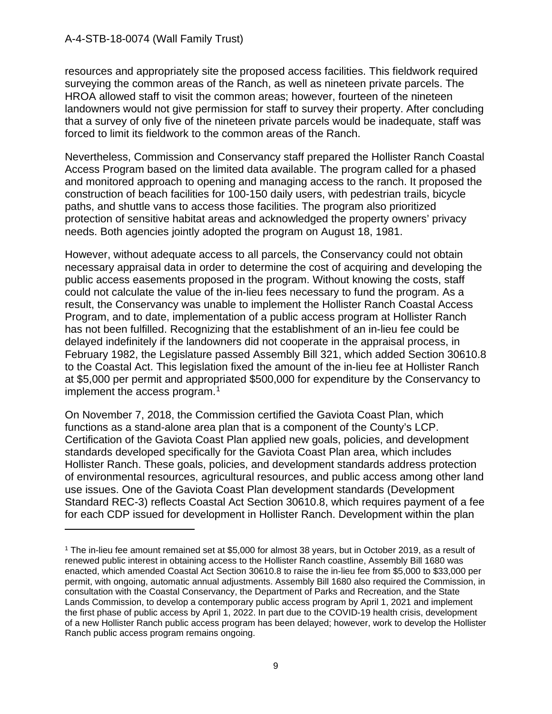resources and appropriately site the proposed access facilities. This fieldwork required surveying the common areas of the Ranch, as well as nineteen private parcels. The HROA allowed staff to visit the common areas; however, fourteen of the nineteen landowners would not give permission for staff to survey their property. After concluding that a survey of only five of the nineteen private parcels would be inadequate, staff was forced to limit its fieldwork to the common areas of the Ranch.

Nevertheless, Commission and Conservancy staff prepared the Hollister Ranch Coastal Access Program based on the limited data available. The program called for a phased and monitored approach to opening and managing access to the ranch. It proposed the construction of beach facilities for 100-150 daily users, with pedestrian trails, bicycle paths, and shuttle vans to access those facilities. The program also prioritized protection of sensitive habitat areas and acknowledged the property owners' privacy needs. Both agencies jointly adopted the program on August 18, 1981.

However, without adequate access to all parcels, the Conservancy could not obtain necessary appraisal data in order to determine the cost of acquiring and developing the public access easements proposed in the program. Without knowing the costs, staff could not calculate the value of the in-lieu fees necessary to fund the program. As a result, the Conservancy was unable to implement the Hollister Ranch Coastal Access Program, and to date, implementation of a public access program at Hollister Ranch has not been fulfilled. Recognizing that the establishment of an in-lieu fee could be delayed indefinitely if the landowners did not cooperate in the appraisal process, in February 1982, the Legislature passed Assembly Bill 321, which added Section 30610.8 to the Coastal Act. This legislation fixed the amount of the in-lieu fee at Hollister Ranch at \$5,000 per permit and appropriated \$500,000 for expenditure by the Conservancy to implement the access program.<sup>[1](#page-8-0)</sup>

On November 7, 2018, the Commission certified the Gaviota Coast Plan, which functions as a stand-alone area plan that is a component of the County's LCP. Certification of the Gaviota Coast Plan applied new goals, policies, and development standards developed specifically for the Gaviota Coast Plan area, which includes Hollister Ranch. These goals, policies, and development standards address protection of environmental resources, agricultural resources, and public access among other land use issues. One of the Gaviota Coast Plan development standards (Development Standard REC-3) reflects Coastal Act Section 30610.8, which requires payment of a fee for each CDP issued for development in Hollister Ranch. Development within the plan

<span id="page-8-0"></span><sup>1</sup> The in-lieu fee amount remained set at \$5,000 for almost 38 years, but in October 2019, as a result of renewed public interest in obtaining access to the Hollister Ranch coastline, Assembly Bill 1680 was enacted, which amended Coastal Act Section 30610.8 to raise the in-lieu fee from \$5,000 to \$33,000 per permit, with ongoing, automatic annual adjustments. Assembly Bill 1680 also required the Commission, in consultation with the Coastal Conservancy, the Department of Parks and Recreation, and the State Lands Commission, to develop a contemporary public access program by April 1, 2021 and implement the first phase of public access by April 1, 2022. In part due to the COVID-19 health crisis, development of a new Hollister Ranch public access program has been delayed; however, work to develop the Hollister Ranch public access program remains ongoing.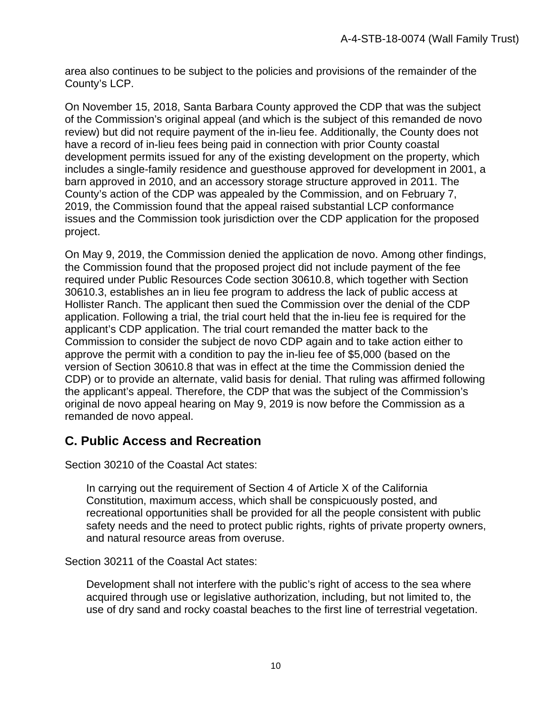area also continues to be subject to the policies and provisions of the remainder of the County's LCP.

On November 15, 2018, Santa Barbara County approved the CDP that was the subject of the Commission's original appeal (and which is the subject of this remanded de novo review) but did not require payment of the in-lieu fee. Additionally, the County does not have a record of in-lieu fees being paid in connection with prior County coastal development permits issued for any of the existing development on the property, which includes a single-family residence and guesthouse approved for development in 2001, a barn approved in 2010, and an accessory storage structure approved in 2011. The County's action of the CDP was appealed by the Commission, and on February 7, 2019, the Commission found that the appeal raised substantial LCP conformance issues and the Commission took jurisdiction over the CDP application for the proposed project.

On May 9, 2019, the Commission denied the application de novo. Among other findings, the Commission found that the proposed project did not include payment of the fee required under Public Resources Code section 30610.8, which together with Section 30610.3, establishes an in lieu fee program to address the lack of public access at Hollister Ranch. The applicant then sued the Commission over the denial of the CDP application. Following a trial, the trial court held that the in-lieu fee is required for the applicant's CDP application. The trial court remanded the matter back to the Commission to consider the subject de novo CDP again and to take action either to approve the permit with a condition to pay the in-lieu fee of \$5,000 (based on the version of Section 30610.8 that was in effect at the time the Commission denied the CDP) or to provide an alternate, valid basis for denial. That ruling was affirmed following the applicant's appeal. Therefore, the CDP that was the subject of the Commission's original de novo appeal hearing on May 9, 2019 is now before the Commission as a remanded de novo appeal.

### <span id="page-9-0"></span>**C. Public Access and Recreation**

Section 30210 of the Coastal Act states:

In carrying out the requirement of Section 4 of Article X of the California Constitution, maximum access, which shall be conspicuously posted, and recreational opportunities shall be provided for all the people consistent with public safety needs and the need to protect public rights, rights of private property owners, and natural resource areas from overuse.

Section 30211 of the Coastal Act states:

Development shall not interfere with the public's right of access to the sea where acquired through use or legislative authorization, including, but not limited to, the use of dry sand and rocky coastal beaches to the first line of terrestrial vegetation.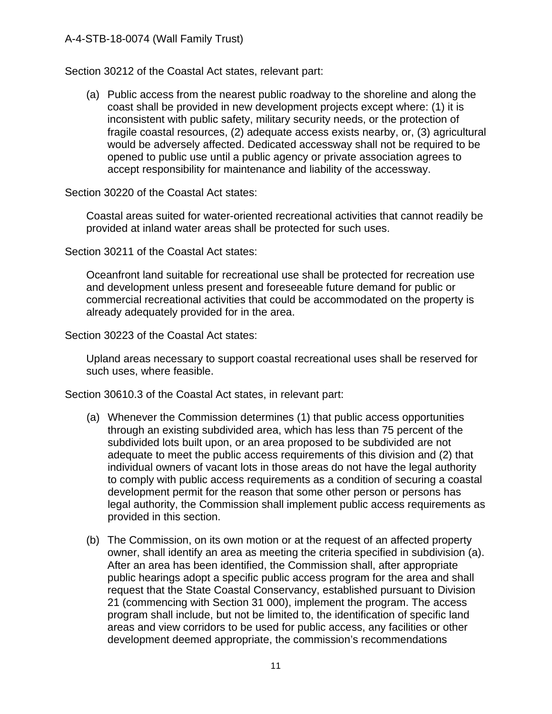Section 30212 of the Coastal Act states, relevant part:

(a) Public access from the nearest public roadway to the shoreline and along the coast shall be provided in new development projects except where: (1) it is inconsistent with public safety, military security needs, or the protection of fragile coastal resources, (2) adequate access exists nearby, or, (3) agricultural would be adversely affected. Dedicated accessway shall not be required to be opened to public use until a public agency or private association agrees to accept responsibility for maintenance and liability of the accessway.

Section 30220 of the Coastal Act states:

Coastal areas suited for water-oriented recreational activities that cannot readily be provided at inland water areas shall be protected for such uses.

Section 30211 of the Coastal Act states:

Oceanfront land suitable for recreational use shall be protected for recreation use and development unless present and foreseeable future demand for public or commercial recreational activities that could be accommodated on the property is already adequately provided for in the area.

Section 30223 of the Coastal Act states:

Upland areas necessary to support coastal recreational uses shall be reserved for such uses, where feasible.

Section 30610.3 of the Coastal Act states, in relevant part:

- (a) Whenever the Commission determines (1) that public access opportunities through an existing subdivided area, which has less than 75 percent of the subdivided lots built upon, or an area proposed to be subdivided are not adequate to meet the public access requirements of this division and (2) that individual owners of vacant lots in those areas do not have the legal authority to comply with public access requirements as a condition of securing a coastal development permit for the reason that some other person or persons has legal authority, the Commission shall implement public access requirements as provided in this section.
- (b) The Commission, on its own motion or at the request of an affected property owner, shall identify an area as meeting the criteria specified in subdivision (a). After an area has been identified, the Commission shall, after appropriate public hearings adopt a specific public access program for the area and shall request that the State Coastal Conservancy, established pursuant to Division 21 (commencing with Section 31 000), implement the program. The access program shall include, but not be limited to, the identification of specific land areas and view corridors to be used for public access, any facilities or other development deemed appropriate, the commission's recommendations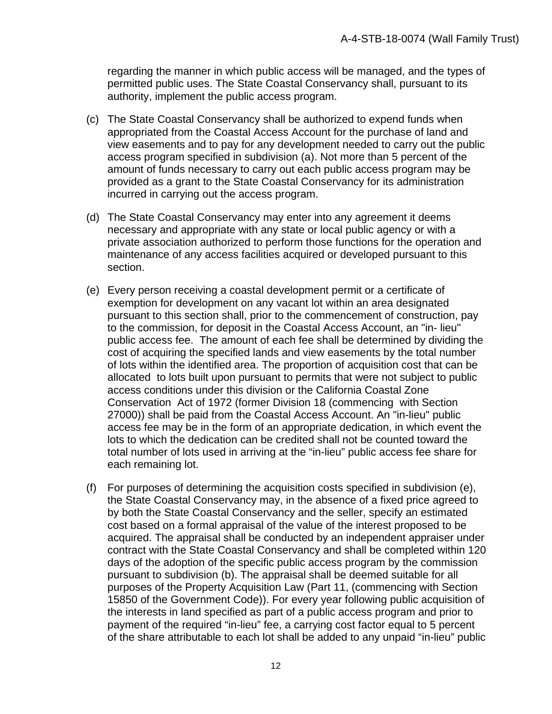regarding the manner in which public access will be managed, and the types of permitted public uses. The State Coastal Conservancy shall, pursuant to its authority, implement the public access program.

- (c) The State Coastal Conservancy shall be authorized to expend funds when appropriated from the Coastal Access Account for the purchase of land and view easements and to pay for any development needed to carry out the public access program specified in subdivision (a). Not more than 5 percent of the amount of funds necessary to carry out each public access program may be provided as a grant to the State Coastal Conservancy for its administration incurred in carrying out the access program.
- (d) The State Coastal Conservancy may enter into any agreement it deems necessary and appropriate with any state or local public agency or with a private association authorized to perform those functions for the operation and maintenance of any access facilities acquired or developed pursuant to this section.
- (e) Every person receiving a coastal development permit or a certificate of exemption for development on any vacant lot within an area designated pursuant to this section shall, prior to the commencement of construction, pay to the commission, for deposit in the Coastal Access Account, an "in- lieu" public access fee. The amount of each fee shall be determined by dividing the cost of acquiring the specified lands and view easements by the total number of lots within the identified area. The proportion of acquisition cost that can be allocated to lots built upon pursuant to permits that were not subject to public access conditions under this division or the California Coastal Zone Conservation Act of 1972 (former Division 18 (commencing with Section 27000)) shall be paid from the Coastal Access Account. An "in-lieu" public access fee may be in the form of an appropriate dedication, in which event the lots to which the dedication can be credited shall not be counted toward the total number of lots used in arriving at the "in-lieu" public access fee share for each remaining lot.
- (f) For purposes of determining the acquisition costs specified in subdivision (e), the State Coastal Conservancy may, in the absence of a fixed price agreed to by both the State Coastal Conservancy and the seller, specify an estimated cost based on a formal appraisal of the value of the interest proposed to be acquired. The appraisal shall be conducted by an independent appraiser under contract with the State Coastal Conservancy and shall be completed within 120 days of the adoption of the specific public access program by the commission pursuant to subdivision (b). The appraisal shall be deemed suitable for all purposes of the Property Acquisition Law (Part 11, (commencing with Section 15850 of the Government Code)). For every year following public acquisition of the interests in land specified as part of a public access program and prior to payment of the required "in-lieu" fee, a carrying cost factor equal to 5 percent of the share attributable to each lot shall be added to any unpaid "in-lieu" public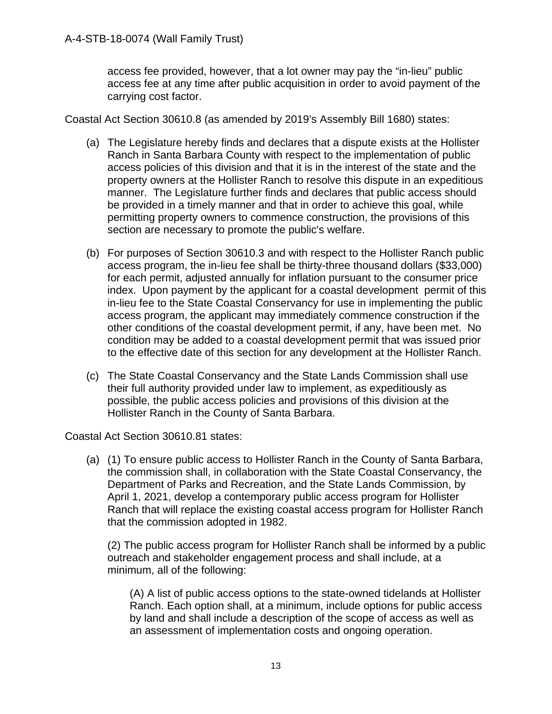access fee provided, however, that a lot owner may pay the "in-lieu" public access fee at any time after public acquisition in order to avoid payment of the carrying cost factor.

Coastal Act Section 30610.8 (as amended by 2019's Assembly Bill 1680) states:

- (a) The Legislature hereby finds and declares that a dispute exists at the Hollister Ranch in Santa Barbara County with respect to the implementation of public access policies of this division and that it is in the interest of the state and the property owners at the Hollister Ranch to resolve this dispute in an expeditious manner. The Legislature further finds and declares that public access should be provided in a timely manner and that in order to achieve this goal, while permitting property owners to commence construction, the provisions of this section are necessary to promote the public's welfare.
- (b) For purposes of Section 30610.3 and with respect to the Hollister Ranch public access program, the in-lieu fee shall be thirty-three thousand dollars (\$33,000) for each permit, adjusted annually for inflation pursuant to the consumer price index. Upon payment by the applicant for a coastal development permit of this in-lieu fee to the State Coastal Conservancy for use in implementing the public access program, the applicant may immediately commence construction if the other conditions of the coastal development permit, if any, have been met. No condition may be added to a coastal development permit that was issued prior to the effective date of this section for any development at the Hollister Ranch.
- (c) The State Coastal Conservancy and the State Lands Commission shall use their full authority provided under law to implement, as expeditiously as possible, the public access policies and provisions of this division at the Hollister Ranch in the County of Santa Barbara.

Coastal Act Section 30610.81 states:

(a) (1) To ensure public access to Hollister Ranch in the County of Santa Barbara, the commission shall, in collaboration with the State Coastal Conservancy, the Department of Parks and Recreation, and the State Lands Commission, by April 1, 2021, develop a contemporary public access program for Hollister Ranch that will replace the existing coastal access program for Hollister Ranch that the commission adopted in 1982.

(2) The public access program for Hollister Ranch shall be informed by a public outreach and stakeholder engagement process and shall include, at a minimum, all of the following:

(A) A list of public access options to the state-owned tidelands at Hollister Ranch. Each option shall, at a minimum, include options for public access by land and shall include a description of the scope of access as well as an assessment of implementation costs and ongoing operation.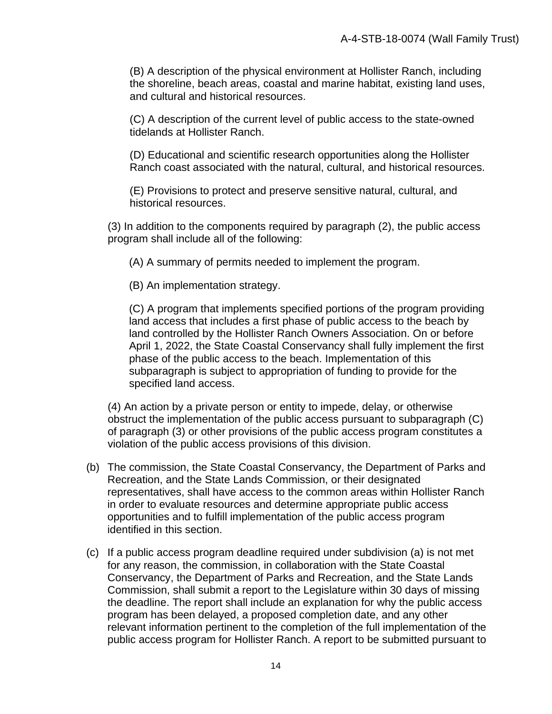(B) A description of the physical environment at Hollister Ranch, including the shoreline, beach areas, coastal and marine habitat, existing land uses, and cultural and historical resources.

(C) A description of the current level of public access to the state-owned tidelands at Hollister Ranch.

(D) Educational and scientific research opportunities along the Hollister Ranch coast associated with the natural, cultural, and historical resources.

(E) Provisions to protect and preserve sensitive natural, cultural, and historical resources.

(3) In addition to the components required by paragraph (2), the public access program shall include all of the following:

(A) A summary of permits needed to implement the program.

(B) An implementation strategy.

(C) A program that implements specified portions of the program providing land access that includes a first phase of public access to the beach by land controlled by the Hollister Ranch Owners Association. On or before April 1, 2022, the State Coastal Conservancy shall fully implement the first phase of the public access to the beach. Implementation of this subparagraph is subject to appropriation of funding to provide for the specified land access.

(4) An action by a private person or entity to impede, delay, or otherwise obstruct the implementation of the public access pursuant to subparagraph (C) of paragraph (3) or other provisions of the public access program constitutes a violation of the public access provisions of this division.

- (b) The commission, the State Coastal Conservancy, the Department of Parks and Recreation, and the State Lands Commission, or their designated representatives, shall have access to the common areas within Hollister Ranch in order to evaluate resources and determine appropriate public access opportunities and to fulfill implementation of the public access program identified in this section.
- (c) If a public access program deadline required under subdivision (a) is not met for any reason, the commission, in collaboration with the State Coastal Conservancy, the Department of Parks and Recreation, and the State Lands Commission, shall submit a report to the Legislature within 30 days of missing the deadline. The report shall include an explanation for why the public access program has been delayed, a proposed completion date, and any other relevant information pertinent to the completion of the full implementation of the public access program for Hollister Ranch. A report to be submitted pursuant to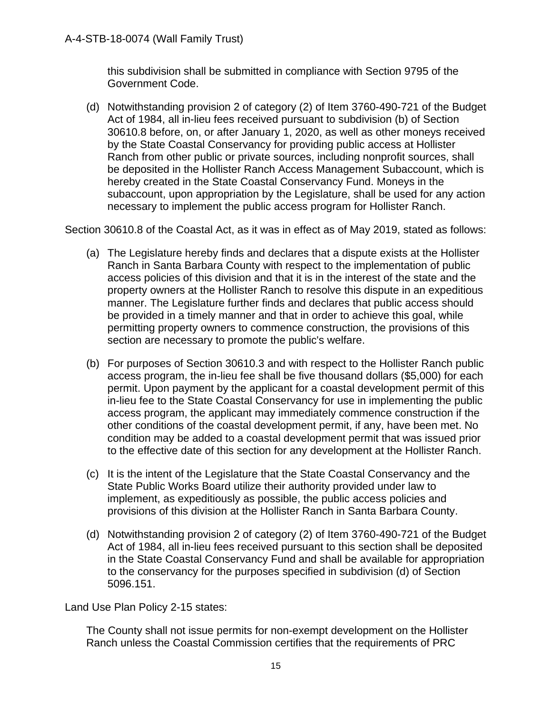this subdivision shall be submitted in compliance with Section 9795 of the Government Code.

(d) Notwithstanding provision 2 of category (2) of Item 3760-490-721 of the Budget Act of 1984, all in-lieu fees received pursuant to subdivision (b) of Section 30610.8 before, on, or after January 1, 2020, as well as other moneys received by the State Coastal Conservancy for providing public access at Hollister Ranch from other public or private sources, including nonprofit sources, shall be deposited in the Hollister Ranch Access Management Subaccount, which is hereby created in the State Coastal Conservancy Fund. Moneys in the subaccount, upon appropriation by the Legislature, shall be used for any action necessary to implement the public access program for Hollister Ranch.

Section 30610.8 of the Coastal Act, as it was in effect as of May 2019, stated as follows:

- (a) The Legislature hereby finds and declares that a dispute exists at the Hollister Ranch in Santa Barbara County with respect to the implementation of public access policies of this division and that it is in the interest of the state and the property owners at the Hollister Ranch to resolve this dispute in an expeditious manner. The Legislature further finds and declares that public access should be provided in a timely manner and that in order to achieve this goal, while permitting property owners to commence construction, the provisions of this section are necessary to promote the public's welfare.
- (b) For purposes of Section 30610.3 and with respect to the Hollister Ranch public access program, the in-lieu fee shall be five thousand dollars (\$5,000) for each permit. Upon payment by the applicant for a coastal development permit of this in-lieu fee to the State Coastal Conservancy for use in implementing the public access program, the applicant may immediately commence construction if the other conditions of the coastal development permit, if any, have been met. No condition may be added to a coastal development permit that was issued prior to the effective date of this section for any development at the Hollister Ranch.
- (c) It is the intent of the Legislature that the State Coastal Conservancy and the State Public Works Board utilize their authority provided under law to implement, as expeditiously as possible, the public access policies and provisions of this division at the Hollister Ranch in Santa Barbara County.
- (d) Notwithstanding provision 2 of category (2) of Item 3760-490-721 of the Budget Act of 1984, all in-lieu fees received pursuant to this section shall be deposited in the State Coastal Conservancy Fund and shall be available for appropriation to the conservancy for the purposes specified in subdivision (d) of Section 5096.151.

Land Use Plan Policy 2-15 states:

The County shall not issue permits for non-exempt development on the Hollister Ranch unless the Coastal Commission certifies that the requirements of PRC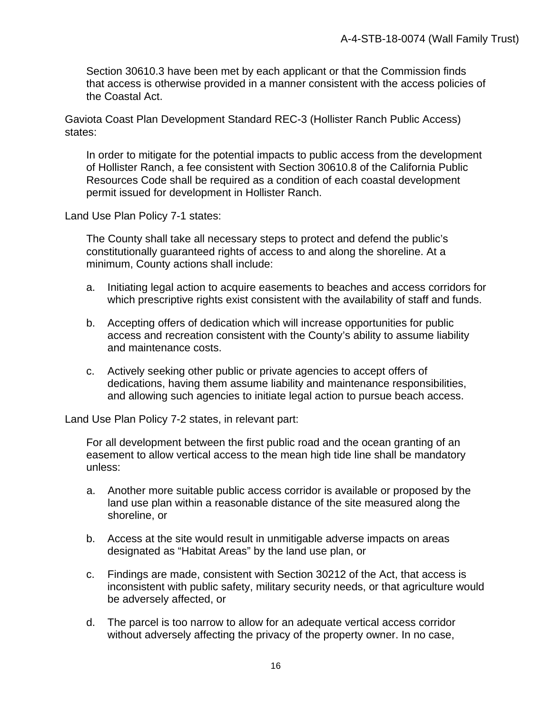Section 30610.3 have been met by each applicant or that the Commission finds that access is otherwise provided in a manner consistent with the access policies of the Coastal Act.

Gaviota Coast Plan Development Standard REC-3 (Hollister Ranch Public Access) states:

In order to mitigate for the potential impacts to public access from the development of Hollister Ranch, a fee consistent with Section 30610.8 of the California Public Resources Code shall be required as a condition of each coastal development permit issued for development in Hollister Ranch.

Land Use Plan Policy 7-1 states:

The County shall take all necessary steps to protect and defend the public's constitutionally guaranteed rights of access to and along the shoreline. At a minimum, County actions shall include:

- a. Initiating legal action to acquire easements to beaches and access corridors for which prescriptive rights exist consistent with the availability of staff and funds.
- b. Accepting offers of dedication which will increase opportunities for public access and recreation consistent with the County's ability to assume liability and maintenance costs.
- c. Actively seeking other public or private agencies to accept offers of dedications, having them assume liability and maintenance responsibilities, and allowing such agencies to initiate legal action to pursue beach access.

Land Use Plan Policy 7-2 states, in relevant part:

For all development between the first public road and the ocean granting of an easement to allow vertical access to the mean high tide line shall be mandatory unless:

- a. Another more suitable public access corridor is available or proposed by the land use plan within a reasonable distance of the site measured along the shoreline, or
- b. Access at the site would result in unmitigable adverse impacts on areas designated as "Habitat Areas" by the land use plan, or
- c. Findings are made, consistent with Section 30212 of the Act, that access is inconsistent with public safety, military security needs, or that agriculture would be adversely affected, or
- d. The parcel is too narrow to allow for an adequate vertical access corridor without adversely affecting the privacy of the property owner. In no case,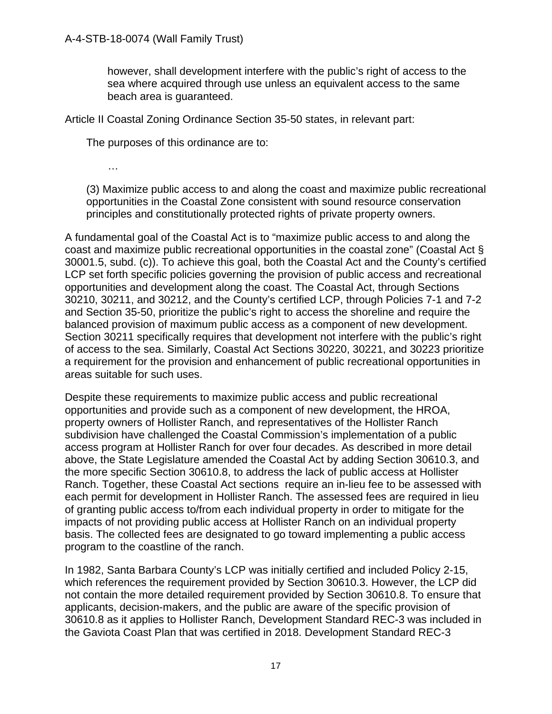however, shall development interfere with the public's right of access to the sea where acquired through use unless an equivalent access to the same beach area is guaranteed.

Article II Coastal Zoning Ordinance Section 35-50 states, in relevant part:

The purposes of this ordinance are to:

…

(3) Maximize public access to and along the coast and maximize public recreational opportunities in the Coastal Zone consistent with sound resource conservation principles and constitutionally protected rights of private property owners.

A fundamental goal of the Coastal Act is to "maximize public access to and along the coast and maximize public recreational opportunities in the coastal zone" (Coastal Act § 30001.5, subd. (c)). To achieve this goal, both the Coastal Act and the County's certified LCP set forth specific policies governing the provision of public access and recreational opportunities and development along the coast. The Coastal Act, through Sections 30210, 30211, and 30212, and the County's certified LCP, through Policies 7-1 and 7-2 and Section 35-50, prioritize the public's right to access the shoreline and require the balanced provision of maximum public access as a component of new development. Section 30211 specifically requires that development not interfere with the public's right of access to the sea. Similarly, Coastal Act Sections 30220, 30221, and 30223 prioritize a requirement for the provision and enhancement of public recreational opportunities in areas suitable for such uses.

Despite these requirements to maximize public access and public recreational opportunities and provide such as a component of new development, the HROA, property owners of Hollister Ranch, and representatives of the Hollister Ranch subdivision have challenged the Coastal Commission's implementation of a public access program at Hollister Ranch for over four decades. As described in more detail above, the State Legislature amended the Coastal Act by adding Section 30610.3, and the more specific Section 30610.8, to address the lack of public access at Hollister Ranch. Together, these Coastal Act sections require an in-lieu fee to be assessed with each permit for development in Hollister Ranch. The assessed fees are required in lieu of granting public access to/from each individual property in order to mitigate for the impacts of not providing public access at Hollister Ranch on an individual property basis. The collected fees are designated to go toward implementing a public access program to the coastline of the ranch.

In 1982, Santa Barbara County's LCP was initially certified and included Policy 2-15, which references the requirement provided by Section 30610.3. However, the LCP did not contain the more detailed requirement provided by Section 30610.8. To ensure that applicants, decision-makers, and the public are aware of the specific provision of 30610.8 as it applies to Hollister Ranch, Development Standard REC-3 was included in the Gaviota Coast Plan that was certified in 2018. Development Standard REC-3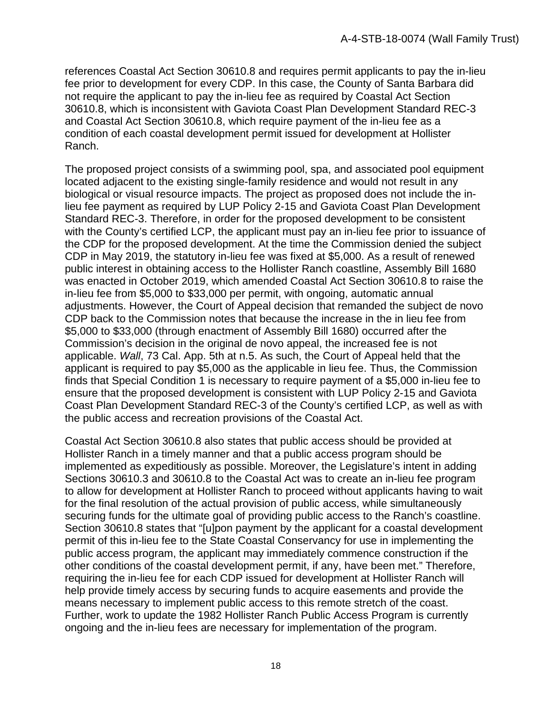references Coastal Act Section 30610.8 and requires permit applicants to pay the in-lieu fee prior to development for every CDP. In this case, the County of Santa Barbara did not require the applicant to pay the in-lieu fee as required by Coastal Act Section 30610.8, which is inconsistent with Gaviota Coast Plan Development Standard REC-3 and Coastal Act Section 30610.8, which require payment of the in-lieu fee as a condition of each coastal development permit issued for development at Hollister Ranch.

The proposed project consists of a swimming pool, spa, and associated pool equipment located adjacent to the existing single-family residence and would not result in any biological or visual resource impacts. The project as proposed does not include the inlieu fee payment as required by LUP Policy 2-15 and Gaviota Coast Plan Development Standard REC-3. Therefore, in order for the proposed development to be consistent with the County's certified LCP, the applicant must pay an in-lieu fee prior to issuance of the CDP for the proposed development. At the time the Commission denied the subject CDP in May 2019, the statutory in-lieu fee was fixed at \$5,000. As a result of renewed public interest in obtaining access to the Hollister Ranch coastline, Assembly Bill 1680 was enacted in October 2019, which amended Coastal Act Section 30610.8 to raise the in-lieu fee from \$5,000 to \$33,000 per permit, with ongoing, automatic annual adjustments. However, the Court of Appeal decision that remanded the subject de novo CDP back to the Commission notes that because the increase in the in lieu fee from \$5,000 to \$33,000 (through enactment of Assembly Bill 1680) occurred after the Commission's decision in the original de novo appeal, the increased fee is not applicable. *Wall*, 73 Cal. App. 5th at n.5. As such, the Court of Appeal held that the applicant is required to pay \$5,000 as the applicable in lieu fee. Thus, the Commission finds that Special Condition 1 is necessary to require payment of a \$5,000 in-lieu fee to ensure that the proposed development is consistent with LUP Policy 2-15 and Gaviota Coast Plan Development Standard REC-3 of the County's certified LCP, as well as with the public access and recreation provisions of the Coastal Act.

Coastal Act Section 30610.8 also states that public access should be provided at Hollister Ranch in a timely manner and that a public access program should be implemented as expeditiously as possible. Moreover, the Legislature's intent in adding Sections 30610.3 and 30610.8 to the Coastal Act was to create an in-lieu fee program to allow for development at Hollister Ranch to proceed without applicants having to wait for the final resolution of the actual provision of public access, while simultaneously securing funds for the ultimate goal of providing public access to the Ranch's coastline. Section 30610.8 states that "[u]pon payment by the applicant for a coastal development permit of this in-lieu fee to the State Coastal Conservancy for use in implementing the public access program, the applicant may immediately commence construction if the other conditions of the coastal development permit, if any, have been met." Therefore, requiring the in-lieu fee for each CDP issued for development at Hollister Ranch will help provide timely access by securing funds to acquire easements and provide the means necessary to implement public access to this remote stretch of the coast. Further, work to update the 1982 Hollister Ranch Public Access Program is currently ongoing and the in-lieu fees are necessary for implementation of the program.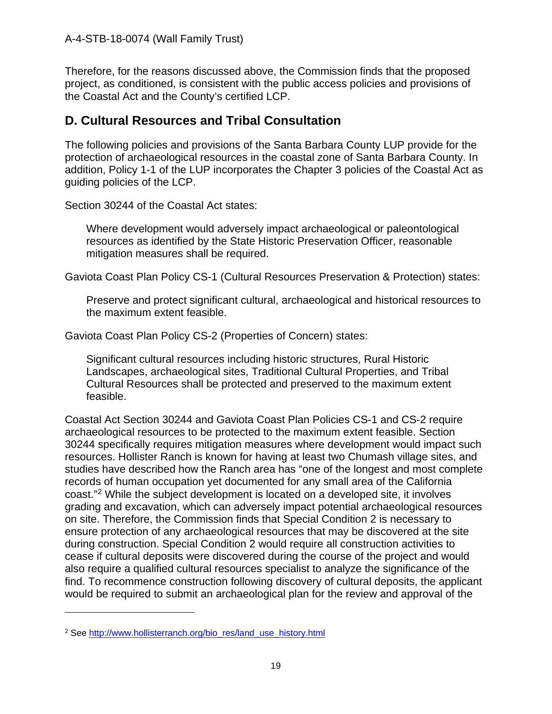Therefore, for the reasons discussed above, the Commission finds that the proposed project, as conditioned, is consistent with the public access policies and provisions of the Coastal Act and the County's certified LCP.

### <span id="page-18-0"></span>**D. Cultural Resources and Tribal Consultation**

The following policies and provisions of the Santa Barbara County LUP provide for the protection of archaeological resources in the coastal zone of Santa Barbara County. In addition, Policy 1-1 of the LUP incorporates the Chapter 3 policies of the Coastal Act as guiding policies of the LCP.

Section 30244 of the Coastal Act states:

Where development would adversely impact archaeological or paleontological resources as identified by the State Historic Preservation Officer, reasonable mitigation measures shall be required.

Gaviota Coast Plan Policy CS-1 (Cultural Resources Preservation & Protection) states:

Preserve and protect significant cultural, archaeological and historical resources to the maximum extent feasible.

Gaviota Coast Plan Policy CS-2 (Properties of Concern) states:

Significant cultural resources including historic structures, Rural Historic Landscapes, archaeological sites, Traditional Cultural Properties, and Tribal Cultural Resources shall be protected and preserved to the maximum extent feasible.

Coastal Act Section 30244 and Gaviota Coast Plan Policies CS-1 and CS-2 require archaeological resources to be protected to the maximum extent feasible. Section 30244 specifically requires mitigation measures where development would impact such resources. Hollister Ranch is known for having at least two Chumash village sites, and studies have described how the Ranch area has "one of the longest and most complete records of human occupation yet documented for any small area of the California coast."[2](#page-18-1) While the subject development is located on a developed site, it involves grading and excavation, which can adversely impact potential archaeological resources on site. Therefore, the Commission finds that Special Condition 2 is necessary to ensure protection of any archaeological resources that may be discovered at the site during construction. Special Condition 2 would require all construction activities to cease if cultural deposits were discovered during the course of the project and would also require a qualified cultural resources specialist to analyze the significance of the find. To recommence construction following discovery of cultural deposits, the applicant would be required to submit an archaeological plan for the review and approval of the

<span id="page-18-1"></span><sup>&</sup>lt;sup>2</sup> See [http://www.hollisterranch.org/bio\\_res/land\\_use\\_history.html](http://www.hollisterranch.org/bio_res/land_use_history.html)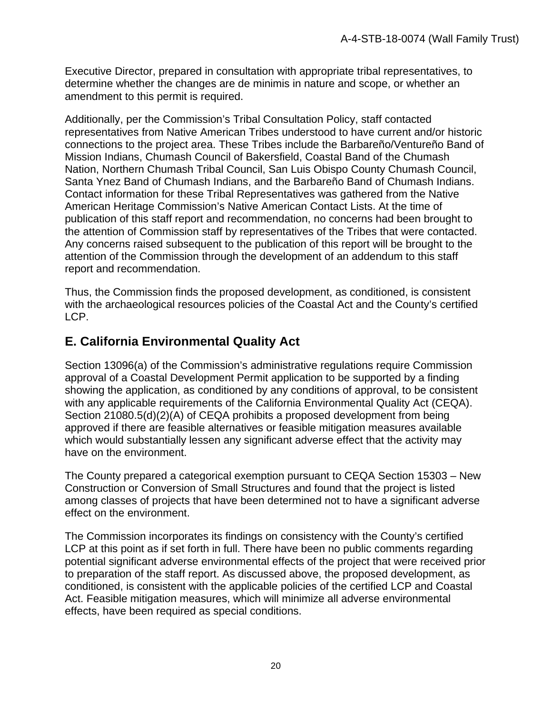Executive Director, prepared in consultation with appropriate tribal representatives, to determine whether the changes are de minimis in nature and scope, or whether an amendment to this permit is required.

Additionally, per the Commission's Tribal Consultation Policy, staff contacted representatives from Native American Tribes understood to have current and/or historic connections to the project area. These Tribes include the Barbareño/Ventureño Band of Mission Indians, Chumash Council of Bakersfield, Coastal Band of the Chumash Nation, Northern Chumash Tribal Council, San Luis Obispo County Chumash Council, Santa Ynez Band of Chumash Indians, and the Barbareño Band of Chumash Indians. Contact information for these Tribal Representatives was gathered from the Native American Heritage Commission's Native American Contact Lists. At the time of publication of this staff report and recommendation, no concerns had been brought to the attention of Commission staff by representatives of the Tribes that were contacted. Any concerns raised subsequent to the publication of this report will be brought to the attention of the Commission through the development of an addendum to this staff report and recommendation.

Thus, the Commission finds the proposed development, as conditioned, is consistent with the archaeological resources policies of the Coastal Act and the County's certified LCP.

### <span id="page-19-0"></span>**E. California Environmental Quality Act**

Section 13096(a) of the Commission's administrative regulations require Commission approval of a Coastal Development Permit application to be supported by a finding showing the application, as conditioned by any conditions of approval, to be consistent with any applicable requirements of the California Environmental Quality Act (CEQA). Section 21080.5(d)(2)(A) of CEQA prohibits a proposed development from being approved if there are feasible alternatives or feasible mitigation measures available which would substantially lessen any significant adverse effect that the activity may have on the environment.

The County prepared a categorical exemption pursuant to CEQA Section 15303 – New Construction or Conversion of Small Structures and found that the project is listed among classes of projects that have been determined not to have a significant adverse effect on the environment.

The Commission incorporates its findings on consistency with the County's certified LCP at this point as if set forth in full. There have been no public comments regarding potential significant adverse environmental effects of the project that were received prior to preparation of the staff report. As discussed above, the proposed development, as conditioned, is consistent with the applicable policies of the certified LCP and Coastal Act. Feasible mitigation measures, which will minimize all adverse environmental effects, have been required as special conditions.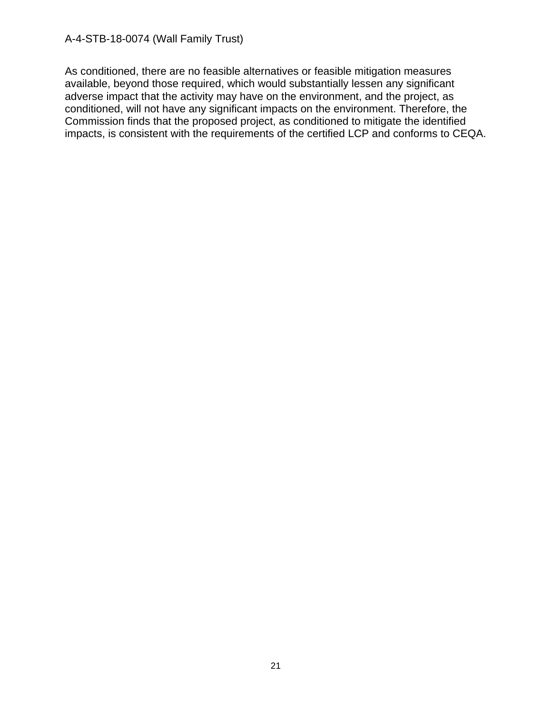As conditioned, there are no feasible alternatives or feasible mitigation measures available, beyond those required, which would substantially lessen any significant adverse impact that the activity may have on the environment, and the project, as conditioned, will not have any significant impacts on the environment. Therefore, the Commission finds that the proposed project, as conditioned to mitigate the identified impacts, is consistent with the requirements of the certified LCP and conforms to CEQA.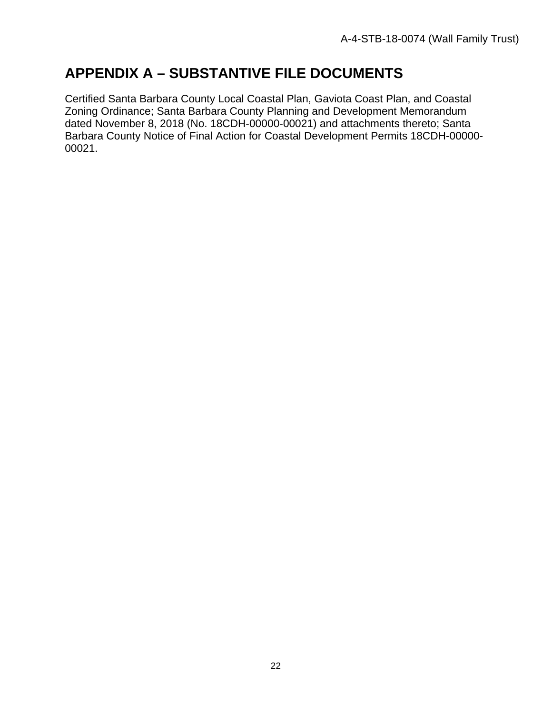# <span id="page-21-0"></span>**APPENDIX A – SUBSTANTIVE FILE DOCUMENTS**

Certified Santa Barbara County Local Coastal Plan, Gaviota Coast Plan, and Coastal Zoning Ordinance; Santa Barbara County Planning and Development Memorandum dated November 8, 2018 (No. 18CDH-00000-00021) and attachments thereto; Santa Barbara County Notice of Final Action for Coastal Development Permits 18CDH-00000- 00021.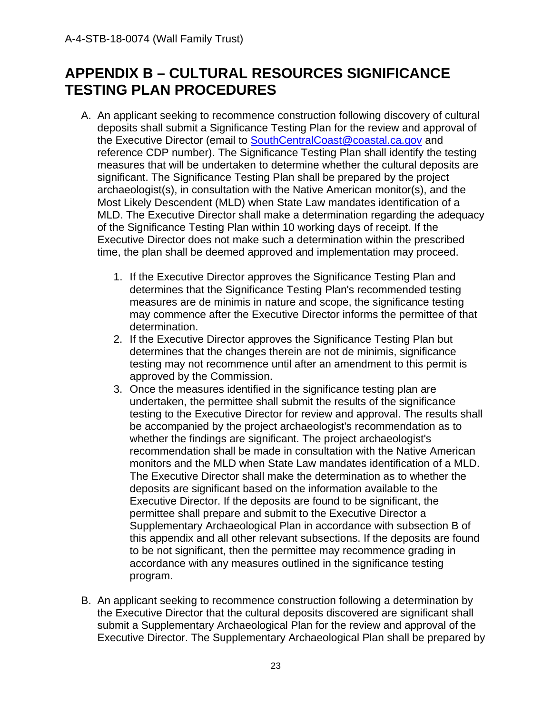# <span id="page-22-0"></span>**APPENDIX B – CULTURAL RESOURCES SIGNIFICANCE TESTING PLAN PROCEDURES**

- A. An applicant seeking to recommence construction following discovery of cultural deposits shall submit a Significance Testing Plan for the review and approval of the Executive Director (email to SouthCentralCoast@coastal.ca.gov and reference CDP number). The Significance Testing Plan shall identify the testing measures that will be undertaken to determine whether the cultural deposits are significant. The Significance Testing Plan shall be prepared by the project archaeologist(s), in consultation with the Native American monitor(s), and the Most Likely Descendent (MLD) when State Law mandates identification of a MLD. The Executive Director shall make a determination regarding the adequacy of the Significance Testing Plan within 10 working days of receipt. If the Executive Director does not make such a determination within the prescribed time, the plan shall be deemed approved and implementation may proceed.
	- 1. If the Executive Director approves the Significance Testing Plan and determines that the Significance Testing Plan's recommended testing measures are de minimis in nature and scope, the significance testing may commence after the Executive Director informs the permittee of that determination.
	- 2. If the Executive Director approves the Significance Testing Plan but determines that the changes therein are not de minimis, significance testing may not recommence until after an amendment to this permit is approved by the Commission.
	- 3. Once the measures identified in the significance testing plan are undertaken, the permittee shall submit the results of the significance testing to the Executive Director for review and approval. The results shall be accompanied by the project archaeologist's recommendation as to whether the findings are significant. The project archaeologist's recommendation shall be made in consultation with the Native American monitors and the MLD when State Law mandates identification of a MLD. The Executive Director shall make the determination as to whether the deposits are significant based on the information available to the Executive Director. If the deposits are found to be significant, the permittee shall prepare and submit to the Executive Director a Supplementary Archaeological Plan in accordance with subsection B of this appendix and all other relevant subsections. If the deposits are found to be not significant, then the permittee may recommence grading in accordance with any measures outlined in the significance testing program.
- B. An applicant seeking to recommence construction following a determination by the Executive Director that the cultural deposits discovered are significant shall submit a Supplementary Archaeological Plan for the review and approval of the Executive Director. The Supplementary Archaeological Plan shall be prepared by